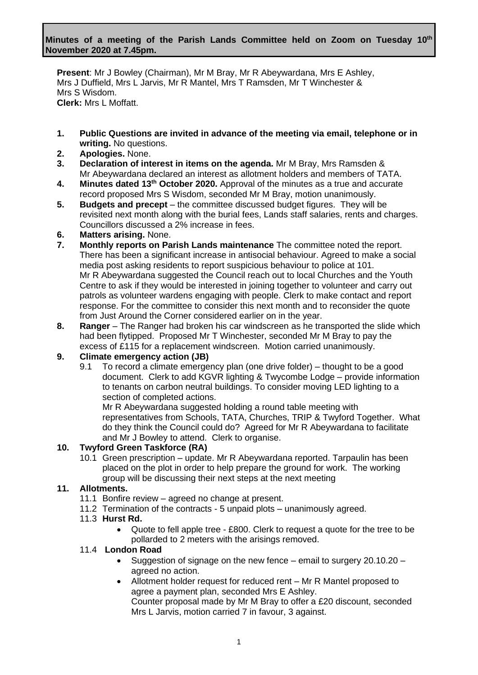**Present**: Mr J Bowley (Chairman), Mr M Bray, Mr R Abeywardana, Mrs E Ashley, Mrs J Duffield, Mrs L Jarvis, Mr R Mantel, Mrs T Ramsden, Mr T Winchester & Mrs S Wisdom. **Clerk:** Mrs L Moffatt.

- **1. Public Questions are invited in advance of the meeting via email, telephone or in writing.** No questions.
- **2. Apologies.** None.
- **3. Declaration of interest in items on the agenda.** Mr M Bray, Mrs Ramsden & Mr Abeywardana declared an interest as allotment holders and members of TATA.
- **4. Minutes dated 13th October 2020.** Approval of the minutes as a true and accurate record proposed Mrs S Wisdom, seconded Mr M Bray, motion unanimously.
- **5. Budgets and precept** the committee discussed budget figures. They will be revisited next month along with the burial fees, Lands staff salaries, rents and charges. Councillors discussed a 2% increase in fees.

### **6. Matters arising.** None.

- **7. Monthly reports on Parish Lands maintenance** The committee noted the report. There has been a significant increase in antisocial behaviour. Agreed to make a social media post asking residents to report suspicious behaviour to police at 101. Mr R Abeywardana suggested the Council reach out to local Churches and the Youth Centre to ask if they would be interested in joining together to volunteer and carry out patrols as volunteer wardens engaging with people. Clerk to make contact and report response. For the committee to consider this next month and to reconsider the quote from Just Around the Corner considered earlier on in the year.
- **8. Ranger** The Ranger had broken his car windscreen as he transported the slide which had been flytipped. Proposed Mr T Winchester, seconded Mr M Bray to pay the excess of £115 for a replacement windscreen. Motion carried unanimously.

## **9. Climate emergency action (JB)**

9.1 To record a climate emergency plan (one drive folder) – thought to be a good document. Clerk to add KGVR lighting & Twycombe Lodge – provide information to tenants on carbon neutral buildings. To consider moving LED lighting to a section of completed actions.

Mr R Abeywardana suggested holding a round table meeting with representatives from Schools, TATA, Churches, TRIP & Twyford Together. What do they think the Council could do? Agreed for Mr R Abeywardana to facilitate and Mr J Bowley to attend. Clerk to organise.

#### **10. Twyford Green Taskforce (RA)**

10.1 Green prescription – update. Mr R Abeywardana reported. Tarpaulin has been placed on the plot in order to help prepare the ground for work. The working group will be discussing their next steps at the next meeting

## **11. Allotments.**

- 11.1 Bonfire review agreed no change at present.
- 11.2 Termination of the contracts 5 unpaid plots unanimously agreed.

### 11.3 **Hurst Rd.**

• Quote to fell apple tree - £800. Clerk to request a quote for the tree to be pollarded to 2 meters with the arisings removed.

#### 11.4 **London Road**

- Suggestion of signage on the new fence email to surgery 20.10.20 agreed no action.
- Allotment holder request for reduced rent Mr R Mantel proposed to agree a payment plan, seconded Mrs E Ashley. Counter proposal made by Mr M Bray to offer a £20 discount, seconded Mrs L Jarvis, motion carried 7 in favour, 3 against.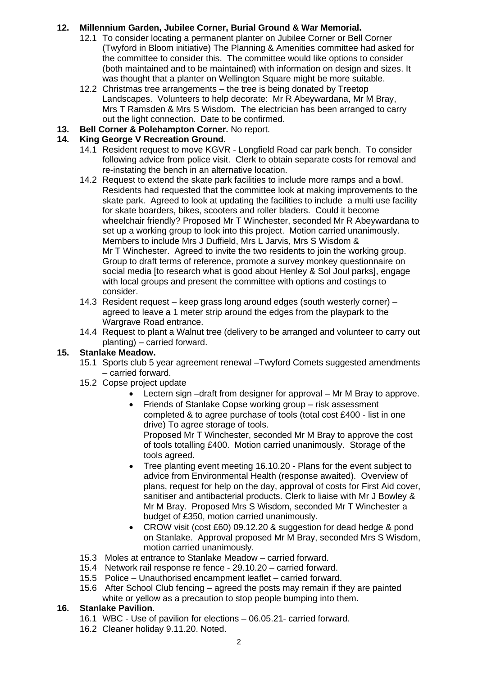# **12. Millennium Garden, Jubilee Corner, Burial Ground & War Memorial.**

- 12.1 To consider locating a permanent planter on Jubilee Corner or Bell Corner (Twyford in Bloom initiative) The Planning & Amenities committee had asked for the committee to consider this. The committee would like options to consider (both maintained and to be maintained) with information on design and sizes. It was thought that a planter on Wellington Square might be more suitable.
- 12.2 Christmas tree arrangements the tree is being donated by Treetop Landscapes. Volunteers to help decorate: Mr R Abeywardana, Mr M Bray, Mrs T Ramsden & Mrs S Wisdom. The electrician has been arranged to carry out the light connection. Date to be confirmed.
- **13. Bell Corner & Polehampton Corner.** No report.

## **14. King George V Recreation Ground.**

- 14.1 Resident request to move KGVR Longfield Road car park bench. To consider following advice from police visit. Clerk to obtain separate costs for removal and re-instating the bench in an alternative location.
- 14.2 Request to extend the skate park facilities to include more ramps and a bowl. Residents had requested that the committee look at making improvements to the skate park. Agreed to look at updating the facilities to include a multi use facility for skate boarders, bikes, scooters and roller bladers. Could it become wheelchair friendly? Proposed Mr T Winchester, seconded Mr R Abeywardana to set up a working group to look into this project. Motion carried unanimously. Members to include Mrs J Duffield, Mrs L Jarvis, Mrs S Wisdom & Mr T Winchester. Agreed to invite the two residents to join the working group. Group to draft terms of reference, promote a survey monkey questionnaire on social media [to research what is good about Henley & Sol Joul parks], engage with local groups and present the committee with options and costings to consider.
- 14.3 Resident request keep grass long around edges (south westerly corner) agreed to leave a 1 meter strip around the edges from the playpark to the Wargrave Road entrance.
- 14.4 Request to plant a Walnut tree (delivery to be arranged and volunteer to carry out planting) – carried forward.

## **15. Stanlake Meadow.**

- 15.1 Sports club 5 year agreement renewal –Twyford Comets suggested amendments – carried forward.
- 15.2 Copse project update
	- Lectern sign –draft from designer for approval Mr M Bray to approve.
	- Friends of Stanlake Copse working group risk assessment completed & to agree purchase of tools (total cost £400 - list in one drive) To agree storage of tools. Proposed Mr T Winchester, seconded Mr M Bray to approve the cost of tools totalling £400. Motion carried unanimously. Storage of the tools agreed.
	- Tree planting event meeting 16.10.20 Plans for the event subject to advice from Environmental Health (response awaited). Overview of plans, request for help on the day, approval of costs for First Aid cover, sanitiser and antibacterial products. Clerk to liaise with Mr J Bowley & Mr M Bray. Proposed Mrs S Wisdom, seconded Mr T Winchester a budget of £350, motion carried unanimously.
	- CROW visit (cost £60) 09.12.20 & suggestion for dead hedge & pond on Stanlake. Approval proposed Mr M Bray, seconded Mrs S Wisdom, motion carried unanimously.
- 15.3 Moles at entrance to Stanlake Meadow carried forward.
- 15.4 Network rail response re fence 29.10.20 carried forward.
- 15.5 Police Unauthorised encampment leaflet carried forward.
- 15.6 After School Club fencing agreed the posts may remain if they are painted white or yellow as a precaution to stop people bumping into them.

#### **16. Stanlake Pavilion.**

- 16.1 WBC Use of pavilion for elections 06.05.21- carried forward.
- 16.2 Cleaner holiday 9.11.20. Noted.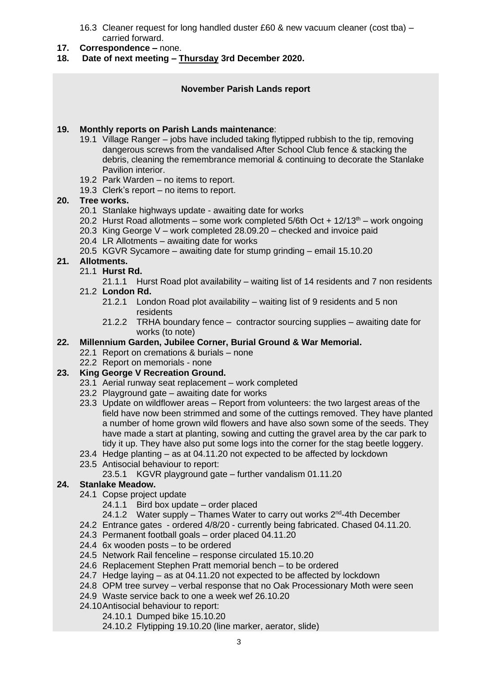- 16.3 Cleaner request for long handled duster £60 & new vacuum cleaner (cost tba) carried forward.
- **17. Correspondence –** none.
- **18. Date of next meeting – Thursday 3rd December 2020.**

### **November Parish Lands report**

#### **19. Monthly reports on Parish Lands maintenance**:

- 19.1 Village Ranger jobs have included taking flytipped rubbish to the tip, removing dangerous screws from the vandalised After School Club fence & stacking the debris, cleaning the remembrance memorial & continuing to decorate the Stanlake Pavilion interior.
- 19.2 Park Warden no items to report.
- 19.3 Clerk's report no items to report.

### **20. Tree works.**

- 20.1 Stanlake highways update awaiting date for works
- 20.2 Hurst Road allotments some work completed  $5/6$ th Oct +  $12/13$ <sup>th</sup> work ongoing
- 20.3 King George V work completed 28.09.20 checked and invoice paid
- 20.4 LR Allotments awaiting date for works
- 20.5 KGVR Sycamore awaiting date for stump grinding email 15.10.20

### **21. Allotments.**

- 21.1 **Hurst Rd.**
	- 21.1.1 Hurst Road plot availability waiting list of 14 residents and 7 non residents
- 21.2 **London Rd.**
	- 21.2.1 London Road plot availability waiting list of 9 residents and 5 non residents
	- 21.2.2 TRHA boundary fence contractor sourcing supplies awaiting date for works (to note)

### **22. Millennium Garden, Jubilee Corner, Burial Ground & War Memorial.**

- 22.1 Report on cremations & burials none
- 22.2 Report on memorials none

## **23. King George V Recreation Ground.**

- 23.1 Aerial runway seat replacement work completed
- 23.2 Playground gate awaiting date for works
- 23.3 Update on wildflower areas Report from volunteers: the two largest areas of the field have now been strimmed and some of the cuttings removed. They have planted a number of home grown wild flowers and have also sown some of the seeds. They have made a start at planting, sowing and cutting the gravel area by the car park to tidy it up. They have also put some logs into the corner for the stag beetle loggery.
- 23.4 Hedge planting as at 04.11.20 not expected to be affected by lockdown
- 23.5 Antisocial behaviour to report:
	- 23.5.1 KGVR playground gate further vandalism 01.11.20

## **24. Stanlake Meadow.**

- 24.1 Copse project update
	- 24.1.1 Bird box update order placed
	- 24.1.2 Water supply Thames Water to carry out works 2<sup>nd</sup>-4th December
- 24.2 Entrance gates ordered 4/8/20 currently being fabricated. Chased 04.11.20.
- 24.3 Permanent football goals order placed 04.11.20
- 24.4 6x wooden posts to be ordered
- 24.5 Network Rail fenceline response circulated 15.10.20
- 24.6 Replacement Stephen Pratt memorial bench to be ordered
- 24.7 Hedge laying as at 04.11.20 not expected to be affected by lockdown
- 24.8 OPM tree survey verbal response that no Oak Processionary Moth were seen
- 24.9 Waste service back to one a week wef 26.10.20
- 24.10Antisocial behaviour to report:
	- 24.10.1 Dumped bike 15.10.20
	- 24.10.2 Flytipping 19.10.20 (line marker, aerator, slide)